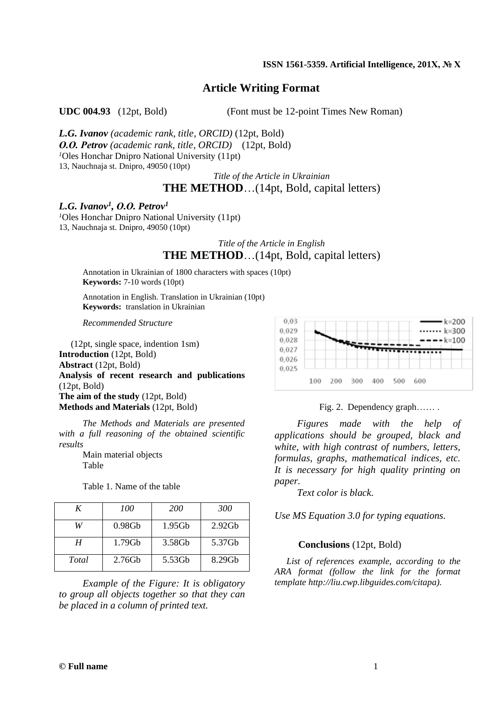#### **ISSN 1561-5359. Artificial Intelligence, 201Х, № Х**

## **Article Writing Format**

**UDC 004.93** (12pt, Bold) (Font must be 12-point Times New Roman)

*L.G. Ivanov (academic rank, title, ORCID)* (12pt, Bold) *О.О. Petrov (academic rank, title, ORCID)* (12pt, Bold) *<sup>1</sup>*Oles Honchar Dnipro National University (11pt) 13, Nauchnaja st. Dnipro, 49050 (10pt)

*Title of the Article in Ukrainian* **THE METHOD**…(14pt, Bold, capital letters)

## *L.G. Ivanov<sup>1</sup> , О.О. Petrov<sup>1</sup>*

*<sup>1</sup>*Oles Honchar Dnipro National University (11pt) 13, Nauchnaja st. Dnipro, 49050 (10pt)

# *Title of the Article in English* **THE METHOD**…(14pt, Bold, capital letters)

Annotation in Ukrainian of 1800 characters with spaces (10pt) **Keywords:** 7-10 words (10pt)

Annotation in English. Translation in Ukrainian (10pt) **Keywords:** translation in Ukrainian

*Recommended Structure*

(12pt, single space, indention 1sm) **Introduction** (12pt, Bold) **Abstract** (12pt, Bold) **Analysis of recent research and publications**  (12pt, Bold) **The aim of the study** (12pt, Bold) **Methods and Materials** (12pt, Bold)

*The Methods and Materials are presented with a full reasoning of the obtained scientific results*

> Main material objects Table

Table 1. Name of the table

| K     | 100       | <b>200</b> | 300       |
|-------|-----------|------------|-----------|
|       | $0.98$ Gb | $1.95$ Gb  | 2.92Gb    |
| Н     | $1.79$ Gb | 3.58Gb     | 5.37Gb    |
| Total | $2.76$ Gb | 5.53Gb     | $8.29$ Gh |

*Example of the Figure: It is obligatory to group all objects together so that they can be placed in a column of printed text.*



Fig. 2. Dependency graph…… .

*Figures made with the help of applications should be grouped, black and white, with high contrast of numbers, letters, formulas, graphs, mathematical indices, etc. It is necessary for high quality printing on paper.*

*Text color is black.*

*Use MS Equation 3.0 for typing equations.* 

### **Conclusions** (12pt, Bold)

*List of references example, according to the ARA format (follow the link for the format template http://liu.cwp.libguides.com/citapa).*